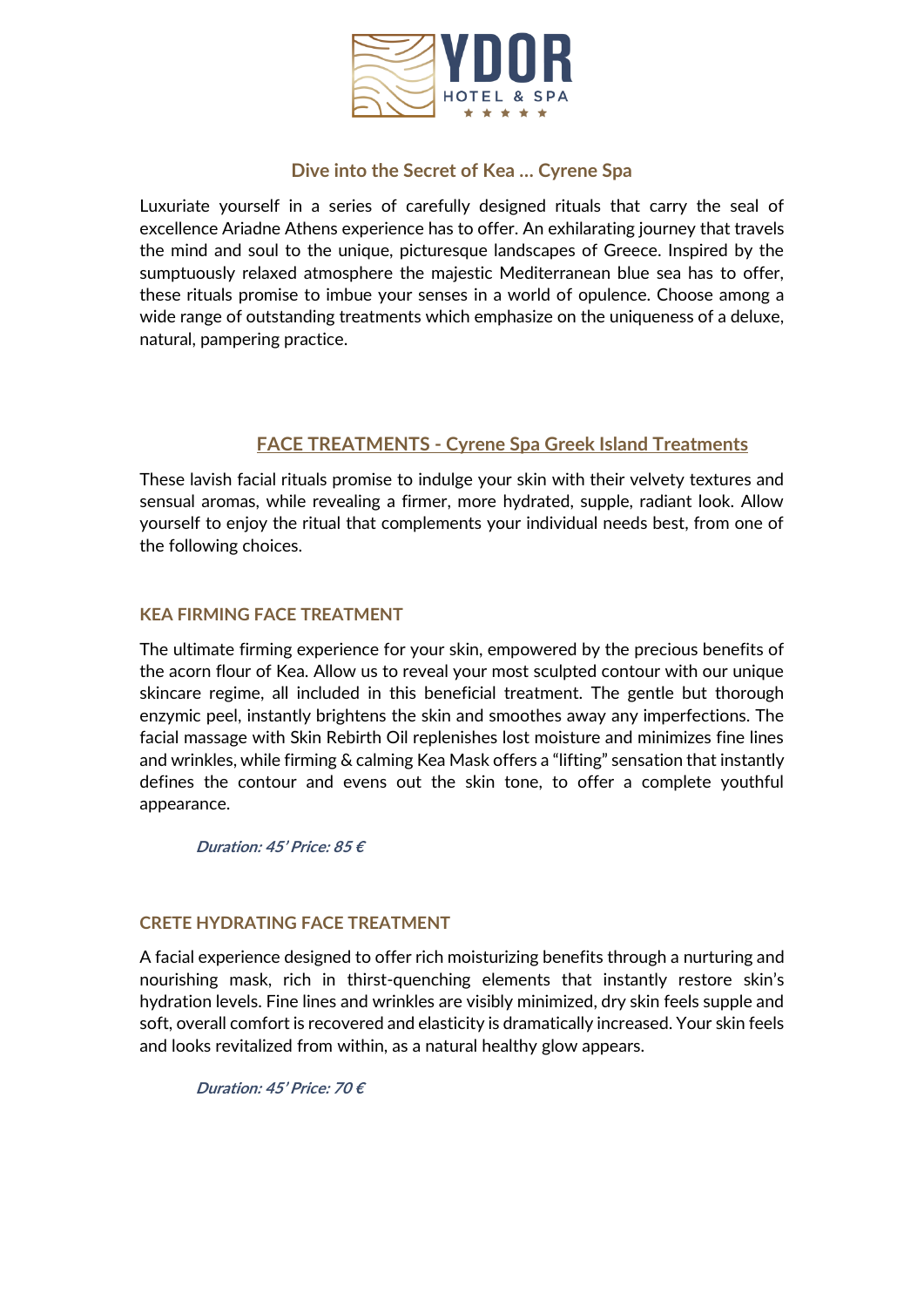

## **Dive into the Secret of Kea … Cyrene Spa**

Luxuriate yourself in a series of carefully designed rituals that carry the seal of excellence Ariadne Athens experience has to offer. An exhilarating journey that travels the mind and soul to the unique, picturesque landscapes of Greece. Inspired by the sumptuously relaxed atmosphere the majestic Mediterranean blue sea has to offer, these rituals promise to imbue your senses in a world of opulence. Choose among a wide range of outstanding treatments which emphasize on the uniqueness of a deluxe, natural, pampering practice.

## **FACE TREATMENTS - Cyrene Spa Greek Island Treatments**

These lavish facial rituals promise to indulge your skin with their velvety textures and sensual aromas, while revealing a firmer, more hydrated, supple, radiant look. Allow yourself to enjoy the ritual that complements your individual needs best, from one of the following choices.

## **KEA FIRMING FACE TREATMENT**

The ultimate firming experience for your skin, empowered by the precious benefits of the acorn flour of Kea. Allow us to reveal your most sculpted contour with our unique skincare regime, all included in this beneficial treatment. The gentle but thorough enzymic peel, instantly brightens the skin and smoothes away any imperfections. The facial massage with Skin Rebirth Oil replenishes lost moisture and minimizes fine lines and wrinkles, while firming & calming Kea Mask offers a "lifting" sensation that instantly defines the contour and evens out the skin tone, to offer a complete youthful appearance.

**Duration: 45' Price: 85 €**

### **CRETE HYDRATING FACE TREATMENT**

A facial experience designed to offer rich moisturizing benefits through a nurturing and nourishing mask, rich in thirst-quenching elements that instantly restore skin's hydration levels. Fine lines and wrinkles are visibly minimized, dry skin feels supple and soft, overall comfort is recovered and elasticity is dramatically increased. Your skin feels and looks revitalized from within, as a natural healthy glow appears.

**Duration: 45' Price: 70 €**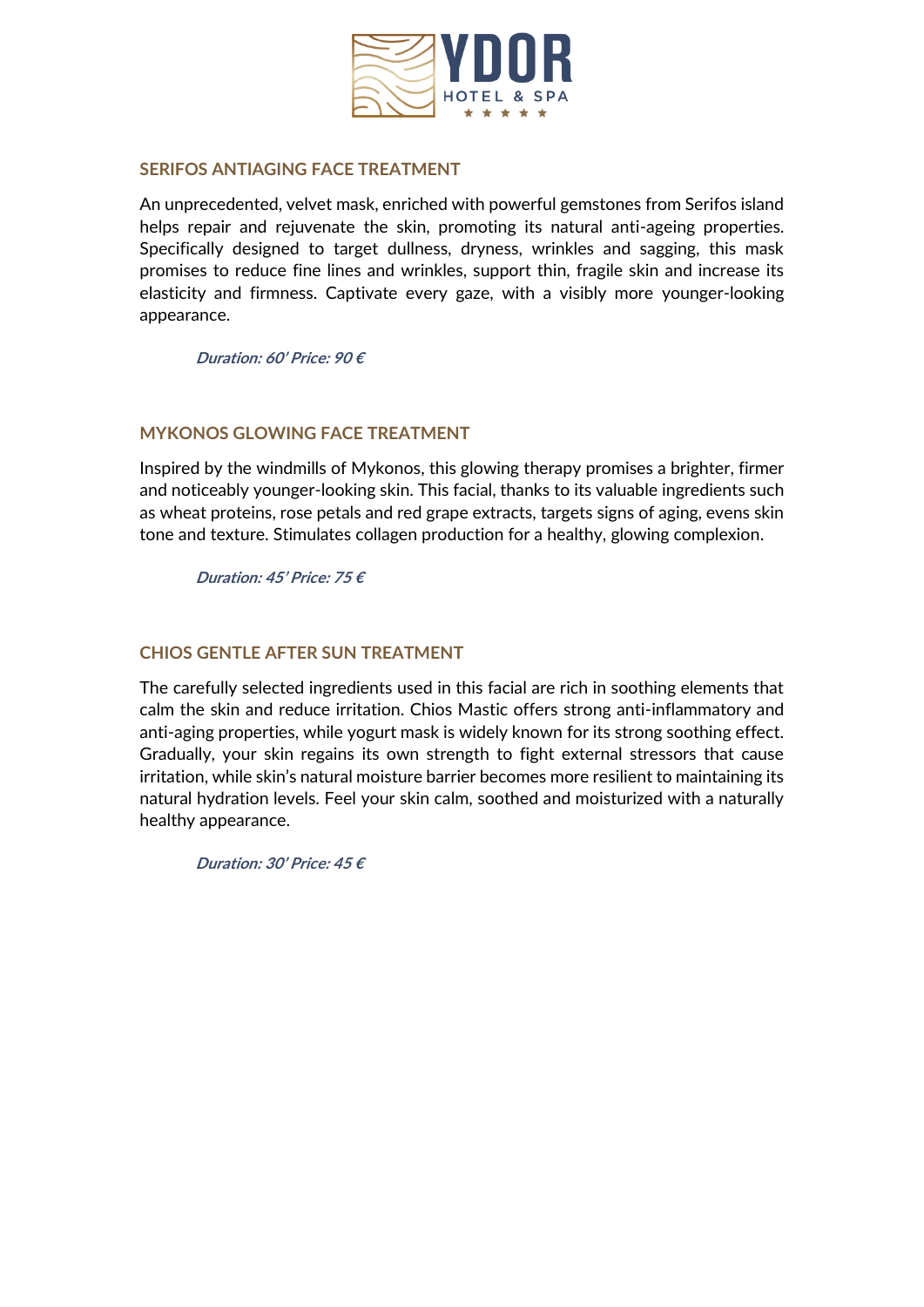

#### **SERIFOS ANTIAGING FACE TREATMENT**

An unprecedented, velvet mask, enriched with powerful gemstones from Serifos island helps repair and rejuvenate the skin, promoting its natural anti-ageing properties. Specifically designed to target dullness, dryness, wrinkles and sagging, this mask promises to reduce fine lines and wrinkles, support thin, fragile skin and increase its elasticity and firmness. Captivate every gaze, with a visibly more younger-looking appearance.

**Duration: 60' Price: 90 €**

### **MYKONOS GLOWING FACE TREATMENT**

Inspired by the windmills of Mykonos, this glowing therapy promises a brighter, firmer and noticeably younger-looking skin. This facial, thanks to its valuable ingredients such as wheat proteins, rose petals and red grape extracts, targets signs of aging, evens skin tone and texture. Stimulates collagen production for a healthy, glowing complexion.

**Duration: 45' Price: 75 €**

## **CHIOS GENTLE AFTER SUN TREATMENT**

The carefully selected ingredients used in this facial are rich in soothing elements that calm the skin and reduce irritation. Chios Mastic offers strong anti-inflammatory and anti-aging properties, while yogurt mask is widely known for its strong soothing effect. Gradually, your skin regains its own strength to fight external stressors that cause irritation, while skin's natural moisture barrier becomes more resilient to maintaining its natural hydration levels. Feel your skin calm, soothed and moisturized with a naturally healthy appearance.

**Duration: 30' Price: 45 €**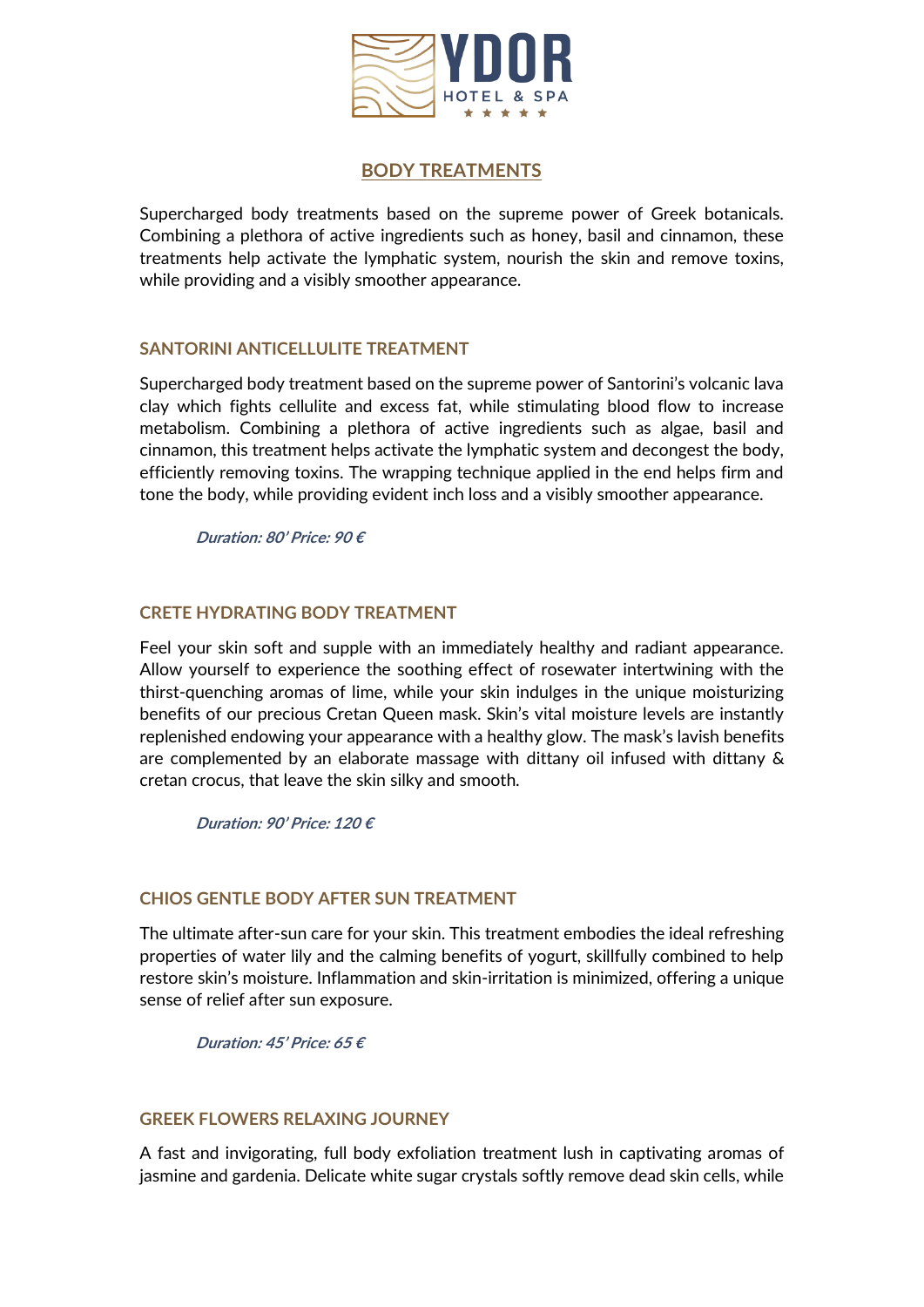

## **BODY TREATMENTS**

Supercharged body treatments based on the supreme power of Greek botanicals. Combining a plethora of active ingredients such as honey, basil and cinnamon, these treatments help activate the lymphatic system, nourish the skin and remove toxins, while providing and a visibly smoother appearance.

## **SANTORINI ANTICELLULITE TREATMENT**

Supercharged body treatment based on the supreme power of Santorini's volcanic lava clay which fights cellulite and excess fat, while stimulating blood flow to increase metabolism. Combining a plethora of active ingredients such as algae, basil and cinnamon, this treatment helps activate the lymphatic system and decongest the body, efficiently removing toxins. The wrapping technique applied in the end helps firm and tone the body, while providing evident inch loss and a visibly smoother appearance.

**Duration: 80' Price: 90 €**

## **CRETE HYDRATING BODY TREATMENT**

Feel your skin soft and supple with an immediately healthy and radiant appearance. Allow yourself to experience the soothing effect of rosewater intertwining with the thirst-quenching aromas of lime, while your skin indulges in the unique moisturizing benefits of our precious Cretan Queen mask. Skin's vital moisture levels are instantly replenished endowing your appearance with a healthy glow. The mask's lavish benefits are complemented by an elaborate massage with dittany oil infused with dittany & cretan crocus, that leave the skin silky and smooth.

**Duration: 90' Price: 120 €**

## **CHIOS GENTLE BODY AFTER SUN TREATMENT**

The ultimate after-sun care for your skin. This treatment embodies the ideal refreshing properties of water lily and the calming benefits of yogurt, skillfully combined to help restore skin's moisture. Inflammation and skin-irritation is minimized, offering a unique sense of relief after sun exposure.

**Duration: 45' Price: 65 €**

### **GREEK FLOWERS RELAXING JOURNEY**

A fast and invigorating, full body exfoliation treatment lush in captivating aromas of jasmine and gardenia. Delicate white sugar crystals softly remove dead skin cells, while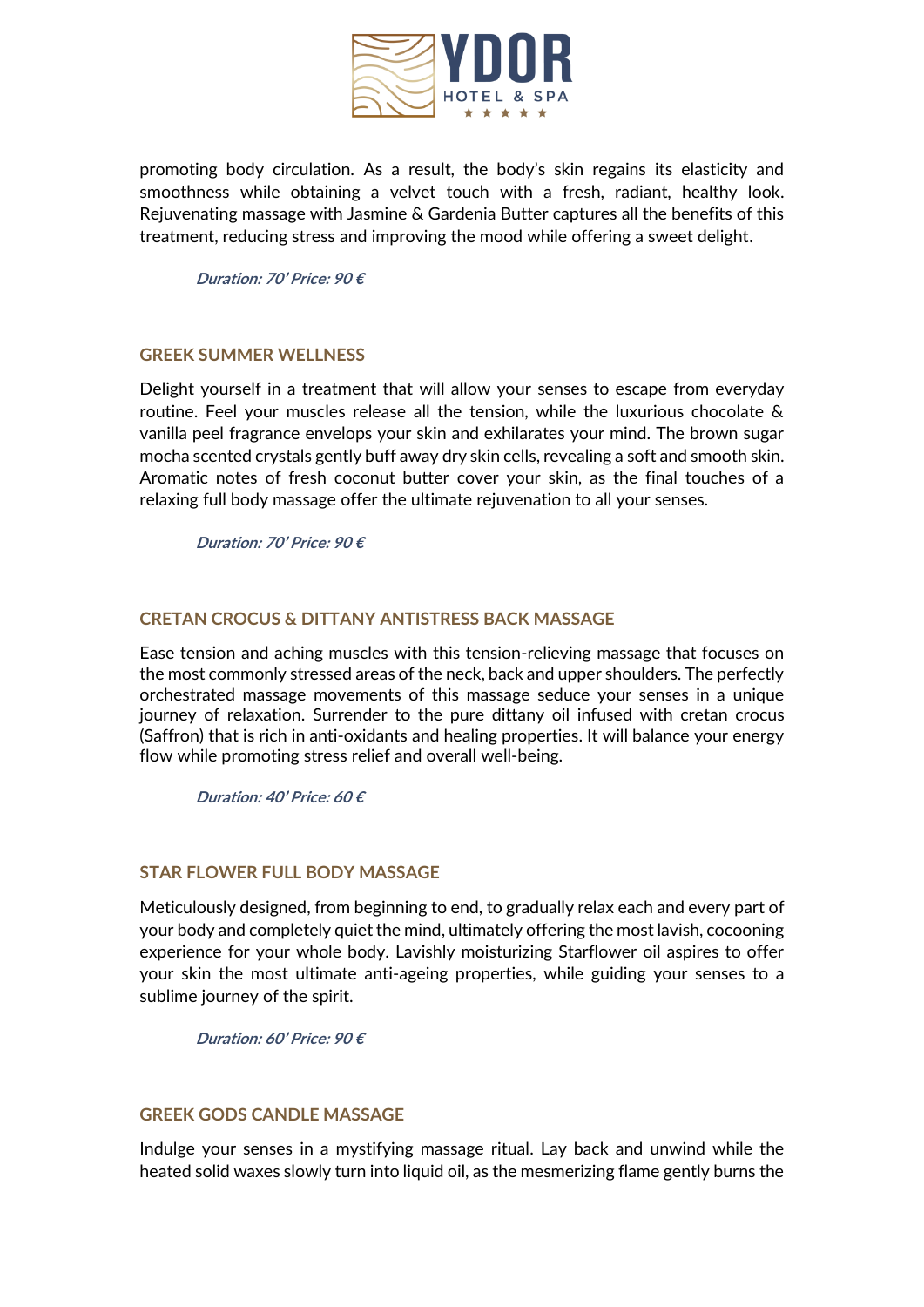

promoting body circulation. As a result, the body's skin regains its elasticity and smoothness while obtaining a velvet touch with a fresh, radiant, healthy look. Rejuvenating massage with Jasmine & Gardenia Butter captures all the benefits of this treatment, reducing stress and improving the mood while offering a sweet delight.

**Duration: 70' Price: 90 €**

### **GREEK SUMMER WELLNESS**

Delight yourself in a treatment that will allow your senses to escape from everyday routine. Feel your muscles release all the tension, while the luxurious chocolate & vanilla peel fragrance envelops your skin and exhilarates your mind. The brown sugar mocha scented crystals gently buff away dry skin cells, revealing a soft and smooth skin. Aromatic notes of fresh coconut butter cover your skin, as the final touches of a relaxing full body massage offer the ultimate rejuvenation to all your senses.

**Duration: 70' Price: 90 €**

#### **CRETAN CROCUS & DITTANY ANTISTRESS BACK MASSAGE**

Ease tension and aching muscles with this tension-relieving massage that focuses on the most commonly stressed areas of the neck, back and upper shoulders. The perfectly orchestrated massage movements of this massage seduce your senses in a unique journey of relaxation. Surrender to the pure dittany oil infused with cretan crocus (Saffron) that is rich in anti-oxidants and healing properties. It will balance your energy flow while promoting stress relief and overall well-being.

**Duration: 40' Price: 60 €**

#### **STAR FLOWER FULL BODY MASSAGE**

Meticulously designed, from beginning to end, to gradually relax each and every part of your body and completely quiet the mind, ultimately offering the most lavish, cocooning experience for your whole body. Lavishly moisturizing Starflower oil aspires to offer your skin the most ultimate anti-ageing properties, while guiding your senses to a sublime journey of the spirit.

**Duration: 60' Price: 90 €**

#### **GREEK GODS CANDLE MASSAGE**

Indulge your senses in a mystifying massage ritual. Lay back and unwind while the heated solid waxes slowly turn into liquid oil, as the mesmerizing flame gently burns the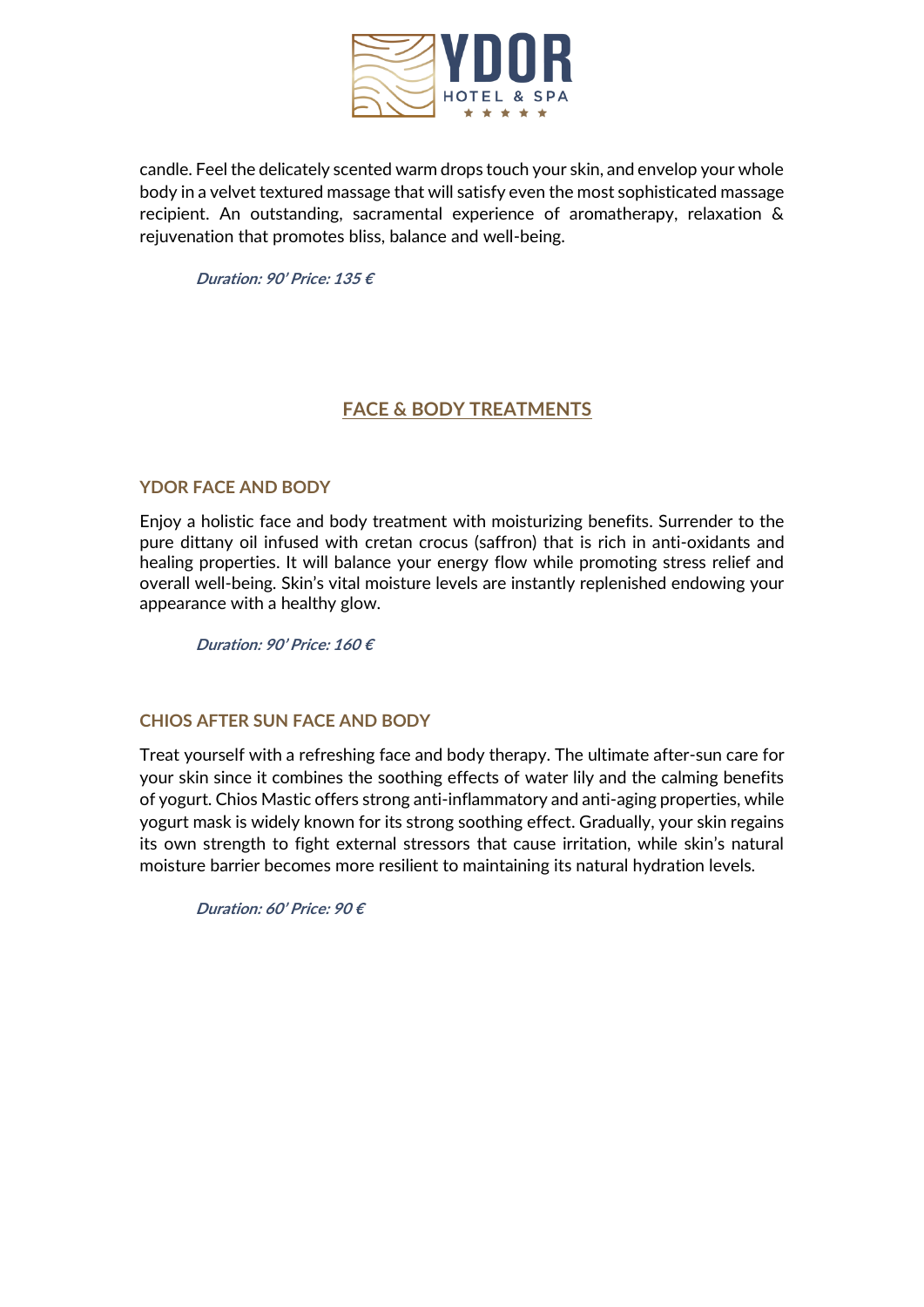

candle. Feel the delicately scented warm drops touch your skin, and envelop your whole body in a velvet textured massage that will satisfy even the most sophisticated massage recipient. An outstanding, sacramental experience of aromatherapy, relaxation & rejuvenation that promotes bliss, balance and well-being.

**Duration: 90' Price: 135 €**

# **FACE & BODY TREATMENTS**

## **YDOR FACE AND BODY**

Enjoy a holistic face and body treatment with moisturizing benefits. Surrender to the pure dittany oil infused with cretan crocus (saffron) that is rich in anti-oxidants and healing properties. It will balance your energy flow while promoting stress relief and overall well-being. Skin's vital moisture levels are instantly replenished endowing your appearance with a healthy glow.

**Duration: 90' Price: 160 €**

### **CHIOS AFTER SUN FACE AND BODY**

Treat yourself with a refreshing face and body therapy. The ultimate after-sun care for your skin since it combines the soothing effects of water lily and the calming benefits of yogurt. Chios Mastic offers strong anti-inflammatory and anti-aging properties, while yogurt mask is widely known for its strong soothing effect. Gradually, your skin regains its own strength to fight external stressors that cause irritation, while skin's natural moisture barrier becomes more resilient to maintaining its natural hydration levels.

**Duration: 60' Price: 90 €**